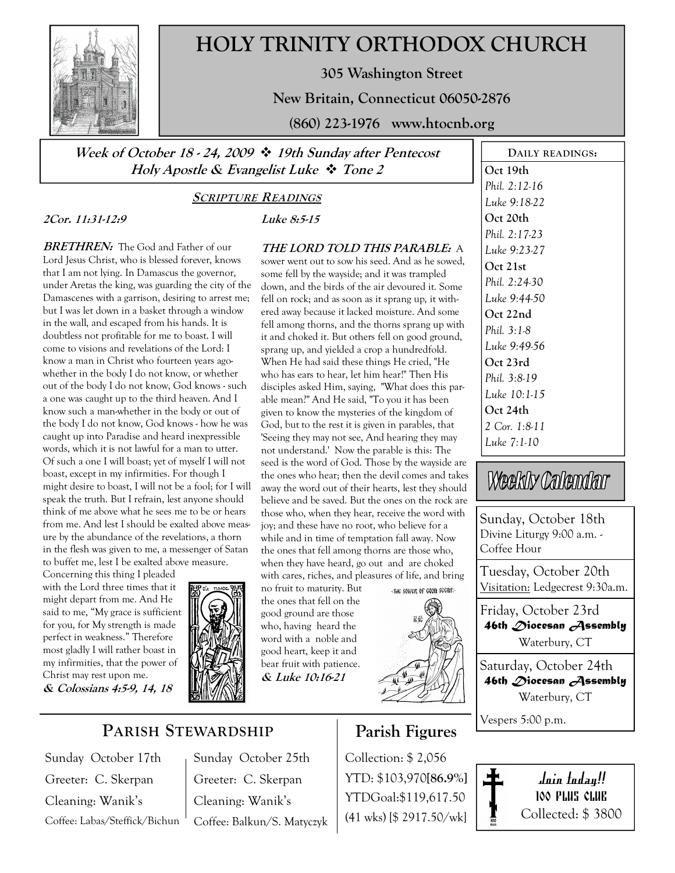

# HOLY TRINITY ORTHODOX CHURCH

305 Washington Street

New Britain, Connecticut 06050-2876

(860) 223-1976 www.htocnb.org

THE LORD TOLD THIS PARABLE: A sower went out to sow his seed. And as he sowed, some fell by the wayside; and it was trampled down, and the birds of the air devoured it. Some fell on rock; and as soon as it sprang up, it withered away because it lacked moisture. And some fell among thorns, and the thorns sprang up with it and choked it. But others fell on good ground, sprang up, and yielded a crop a hundredfold. When He had said these things He cried, "He who has ears to hear, let him hear!" Then His disciples asked Him, saying, "What does this parable mean?" And He said, "To you it has been given to know the mysteries of the kingdom of God, but to the rest it is given in parables, that 'Seeing they may not see, And hearing they may not understand.' Now the parable is this: The seed is the word of God. Those by the wayside are the ones who hear; then the devil comes and takes away the word out of their hearts, lest they should believe and be saved. But the ones on the rock are those who, when they hear, receive the word with joy; and these have no root, who believe for a while and in time of temptation fall away. Now the ones that fell among thorns are those who, when they have heard, go out and are choked with cares, riches, and pleasures of life, and bring

Week of October 18 - 24, 2009  $\div$  19th Sunday after Pentecost Holy Apostle & Evangelist Luke  $\div$  Tone 2

#### SCRIPTURE READINGS

Luke 8:5-15

no fruit to maturity. But the ones that fell on the good ground are those who, having heard the word with a noble and good heart, keep it and bear fruit with patience. & Luke 10:16-21

### 2Cor. 11:31-12:9

**BRETHREN:** The God and Father of our Lord Jesus Christ, who is blessed forever, knows that I am not lying. In Damascus the governor, under Aretas the king, was guarding the city of the Damascenes with a garrison, desiring to arrest me; but I was let down in a basket through a window in the wall, and escaped from his hands. It is doubtless not profitable for me to boast. I will come to visions and revelations of the Lord: I know a man in Christ who fourteen years agowhether in the body I do not know, or whether out of the body I do not know, God knows - such a one was caught up to the third heaven. And I know such a man-whether in the body or out of the body I do not know, God knows - how he was caught up into Paradise and heard inexpressible words, which it is not lawful for a man to utter. Of such a one I will boast; yet of myself I will not boast, except in my infirmities. For though I might desire to boast, I will not be a fool; for I will speak the truth. But I refrain, lest anyone should think of me above what he sees me to be or hears from me. And lest I should be exalted above measure by the abundance of the revelations, a thorn in the flesh was given to me, a messenger of Satan to buffet me, lest I be exalted above measure.

Concerning this thing I pleaded with the Lord three times that it might depart from me. And He said to me, "My grace is sufficient for you, for My strength is made perfect in weakness." Therefore most gladly I will rather boast in my infirmities, that the power of Christ may rest upon me.

& Colossians 4:5-9, 14, 18



PARISH STEWARDSHIP

Sunday October 17th Greeter: C. Skerpan Cleaning: Wanik's Coffee: Labas/Steffick/Bichun

Sunday October 25th Greeter: C. Skerpan Cleaning: Wanik's Coffee: Balkun/S. Matyczyk

## Parish Figures

Collection: \$ 2,056 YTD: \$103,970[86.9%] YTDGoal:\$119,617.50 (41 wks) [\$ 2917.50/wk]

DAILY READINGS: Oct 19th Phil. 2:12-16 Luke 9:18-22 Oct 20th Phil. 2:17-23 Luke 9:23-27 Oct 21st Phil. 2:24-30 Luke 9:44-50 Oct 22nd Phil. 3:1-8 Luke 9:49-56 Oct 23rd Phil. 3:8-19 Luke 10:1-15 Oct 24th 2 Cor. 1:8-11 Luke 7:1-10

# Weekly Calendar

Sunday, October 18th Divine Liturgy 9:00 a.m. - Coffee Hour

Tuesday, October 20th Visitation: Ledgecrest 9:30a.m.

Friday, October 23rd 46th Diocesan Assembly Waterbury, CT

Saturday, October 24th 46th Diocesan Assembly Waterbury, CT

Vespers 5:00 p.m.

Join today!! 100 PLUS CLUB Collected: \$ 3800

«THE SOWER OF GOOD SECRS:-